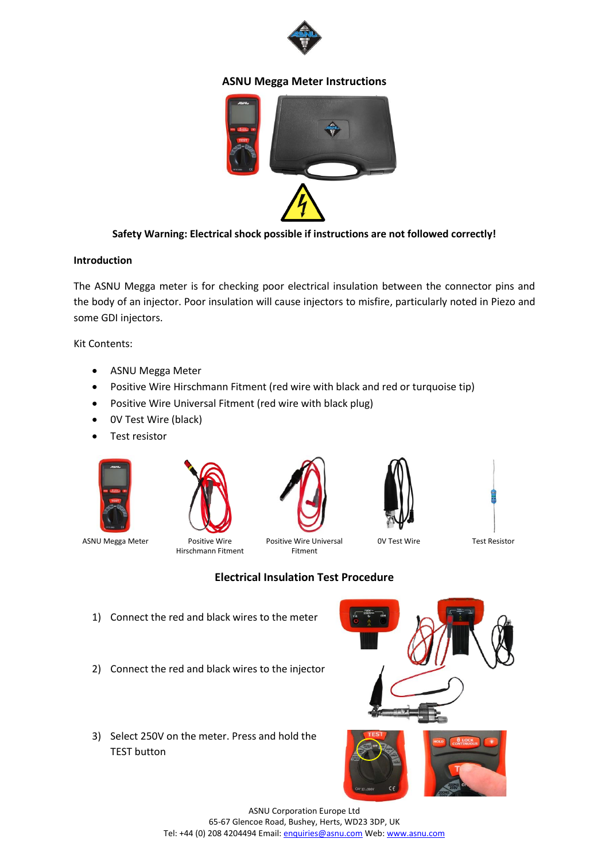

## **ASNU Megga Meter Instructions**



## **Safety Warning: Electrical shock possible if instructions are not followed correctly!**

## **Introduction**

The ASNU Megga meter is for checking poor electrical insulation between the connector pins and the body of an injector. Poor insulation will cause injectors to misfire, particularly noted in Piezo and some GDI injectors.

Kit Contents:

- ASNU Megga Meter
- Positive Wire Hirschmann Fitment (red wire with black and red or turquoise tip)
- Positive Wire Universal Fitment (red wire with black plug)
- 0V Test Wire (black)
- Test resistor





ASNU Megga Meter Positive Wire Hirschmann Fitment



Positive Wire Universal Fitment

0V Test Wire Test Resistor



- 1) Connect the red and black wires to the meter
- 2) Connect the red and black wires to the injector
- 3) Select 250V on the meter. Press and hold the TEST button





ASNU Corporation Europe Ltd 65-67 Glencoe Road, Bushey, Herts, WD23 3DP, UK Tel: +44 (0) 208 4204494 Email[: enquiries@asnu.com](mailto:enquiries@asnu.com) Web[: www.asnu.com](http://www.asnu.com/)